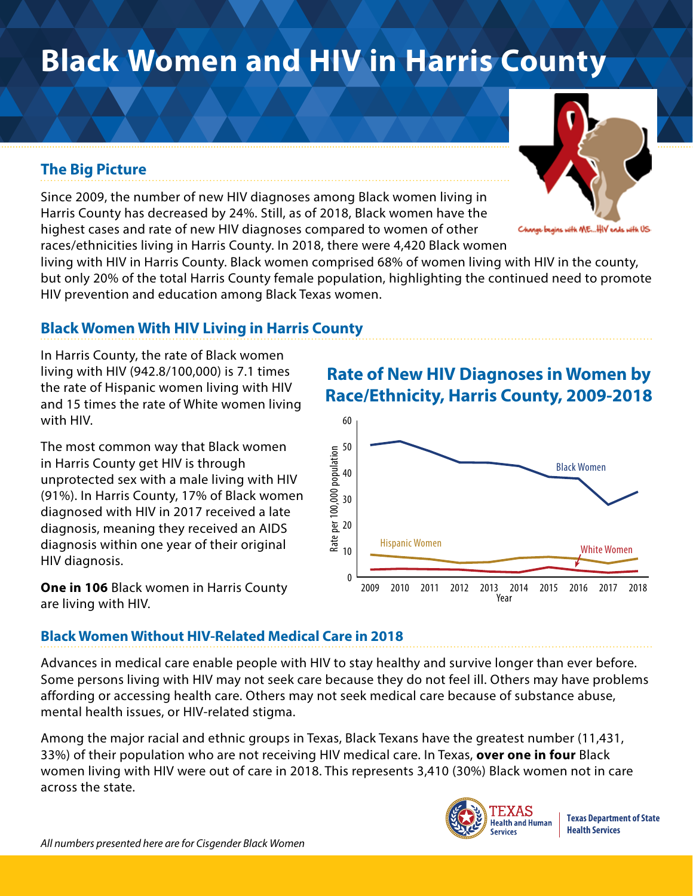# **Black Women and HIV in Harris County**

## **The Big Picture**

Since 2009, the number of new HIV diagnoses among Black women living in Harris County has decreased by 24%. Still, as of 2018, Black women have the highest cases and rate of new HIV diagnoses compared to women of other races/ethnicities living in Harris County. In 2018, there were 4,420 Black women

living with HIV in Harris County. Black women comprised 68% of women living with HIV in the county, but only 20% of the total Harris County female population, highlighting the continued need to promote HIV prevention and education among Black Texas women.

### **Black Women With HIV Living in Harris County**

In Harris County, the rate of Black women living with HIV (942.8/100,000) is 7.1 times the rate of Hispanic women living with HIV and 15 times the rate of White women living with HIV.

The most common way that Black women in Harris County get HIV is through unprotected sex with a male living with HIV (91%). In Harris County, 17% of Black women diagnosed with HIV in 2017 received a late diagnosis, meaning they received an AIDS diagnosis within one year of their original HIV diagnosis.

**One in 106** Black women in Harris County are living with HIV.

## **Rate of New HIV Diagnoses in Women by Race/Ethnicity, Harris County, 2009-2018**



#### **Black Women Without HIV-Related Medical Care in 2018**

Advances in medical care enable people with HIV to stay healthy and survive longer than ever before. Some persons living with HIV may not seek care because they do not feel ill. Others may have problems affording or accessing health care. Others may not seek medical care because of substance abuse, mental health issues, or HIV-related stigma.

Among the major racial and ethnic groups in Texas, Black Texans have the greatest number (11,431, 33%) of their population who are not receiving HIV medical care. In Texas, **over one in four** Black women living with HIV were out of care in 2018. This represents 3,410 (30%) Black women not in care across the state.



**Texas Department of State Health Services**



oith ME...HIV ends 185 مائیں